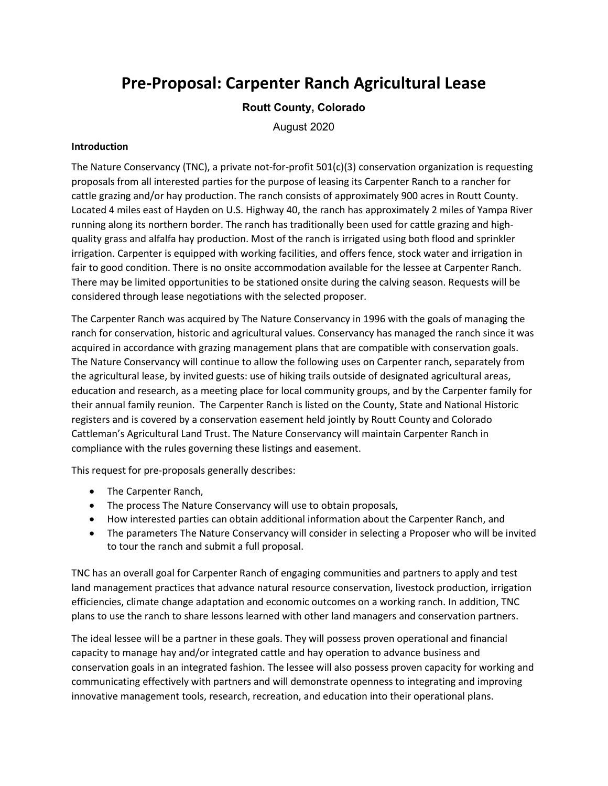# **Pre-Proposal: Carpenter Ranch Agricultural Lease**

## **Routt County, Colorado**

August 2020

### **Introduction**

The Nature Conservancy (TNC), a private not-for-profit 501(c)(3) conservation organization is requesting proposals from all interested parties for the purpose of leasing its Carpenter Ranch to a rancher for cattle grazing and/or hay production. The ranch consists of approximately 900 acres in Routt County. Located 4 miles east of Hayden on U.S. Highway 40, the ranch has approximately 2 miles of Yampa River running along its northern border. The ranch has traditionally been used for cattle grazing and highquality grass and alfalfa hay production. Most of the ranch is irrigated using both flood and sprinkler irrigation. Carpenter is equipped with working facilities, and offers fence, stock water and irrigation in fair to good condition. There is no onsite accommodation available for the lessee at Carpenter Ranch. There may be limited opportunities to be stationed onsite during the calving season. Requests will be considered through lease negotiations with the selected proposer.

The Carpenter Ranch was acquired by The Nature Conservancy in 1996 with the goals of managing the ranch for conservation, historic and agricultural values. Conservancy has managed the ranch since it was acquired in accordance with grazing management plans that are compatible with conservation goals. The Nature Conservancy will continue to allow the following uses on Carpenter ranch, separately from the agricultural lease, by invited guests: use of hiking trails outside of designated agricultural areas, education and research, as a meeting place for local community groups, and by the Carpenter family for their annual family reunion. The Carpenter Ranch is listed on the County, State and National Historic registers and is covered by a conservation easement held jointly by Routt County and Colorado Cattleman's Agricultural Land Trust. The Nature Conservancy will maintain Carpenter Ranch in compliance with the rules governing these listings and easement.

This request for pre-proposals generally describes:

- The Carpenter Ranch,
- The process The Nature Conservancy will use to obtain proposals,
- How interested parties can obtain additional information about the Carpenter Ranch, and
- The parameters The Nature Conservancy will consider in selecting a Proposer who will be invited to tour the ranch and submit a full proposal.

TNC has an overall goal for Carpenter Ranch of engaging communities and partners to apply and test land management practices that advance natural resource conservation, livestock production, irrigation efficiencies, climate change adaptation and economic outcomes on a working ranch. In addition, TNC plans to use the ranch to share lessons learned with other land managers and conservation partners.

The ideal lessee will be a partner in these goals. They will possess proven operational and financial capacity to manage hay and/or integrated cattle and hay operation to advance business and conservation goals in an integrated fashion. The lessee will also possess proven capacity for working and communicating effectively with partners and will demonstrate openness to integrating and improving innovative management tools, research, recreation, and education into their operational plans.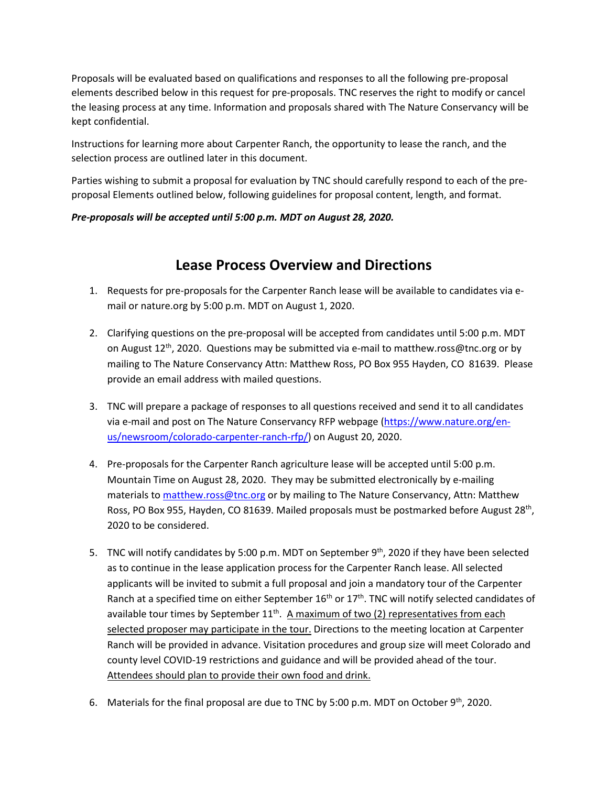Proposals will be evaluated based on qualifications and responses to all the following pre-proposal elements described below in this request for pre-proposals. TNC reserves the right to modify or cancel the leasing process at any time. Information and proposals shared with The Nature Conservancy will be kept confidential.

Instructions for learning more about Carpenter Ranch, the opportunity to lease the ranch, and the selection process are outlined later in this document.

Parties wishing to submit a proposal for evaluation by TNC should carefully respond to each of the preproposal Elements outlined below, following guidelines for proposal content, length, and format.

## *Pre-proposals will be accepted until 5:00 p.m. MDT on August 28, 2020.*

# **Lease Process Overview and Directions**

- 1. Requests for pre-proposals for the Carpenter Ranch lease will be available to candidates via email or nature.org by 5:00 p.m. MDT on August 1, 2020.
- 2. Clarifying questions on the pre-proposal will be accepted from candidates until 5:00 p.m. MDT on August  $12^{th}$ , 2020. Questions may be submitted via e-mail to matthew.ross@tnc.org or by mailing to The Nature Conservancy Attn: Matthew Ross, PO Box 955 Hayden, CO 81639. Please provide an email address with mailed questions.
- 3. TNC will prepare a package of responses to all questions received and send it to all candidates via e-mail and post on The Nature Conservancy RFP webpage [\(https://www.nature.org/en](https://www.nature.org/en-us/newsroom/colorado-carpenter-ranch-rfp/)[us/newsroom/colorado-carpenter-ranch-rfp/\)](https://www.nature.org/en-us/newsroom/colorado-carpenter-ranch-rfp/) on August 20, 2020.
- 4. Pre-proposals for the Carpenter Ranch agriculture lease will be accepted until 5:00 p.m. Mountain Time on August 28, 2020. They may be submitted electronically by e-mailing materials to matthew.ross@tnc.org or by mailing to The Nature Conservancy, Attn: Matthew Ross, PO Box 955, Hayden, CO 81639. Mailed proposals must be postmarked before August 28<sup>th</sup>, 2020 to be considered.
- 5. TNC will notify candidates by 5:00 p.m. MDT on September 9<sup>th</sup>, 2020 if they have been selected as to continue in the lease application process for the Carpenter Ranch lease. All selected applicants will be invited to submit a full proposal and join a mandatory tour of the Carpenter Ranch at a specified time on either September  $16<sup>th</sup>$  or  $17<sup>th</sup>$ . TNC will notify selected candidates of available tour times by September  $11<sup>th</sup>$ . A maximum of two (2) representatives from each selected proposer may participate in the tour. Directions to the meeting location at Carpenter Ranch will be provided in advance. Visitation procedures and group size will meet Colorado and county level COVID-19 restrictions and guidance and will be provided ahead of the tour. Attendees should plan to provide their own food and drink.
- 6. Materials for the final proposal are due to TNC by 5:00 p.m. MDT on October  $9<sup>th</sup>$ , 2020.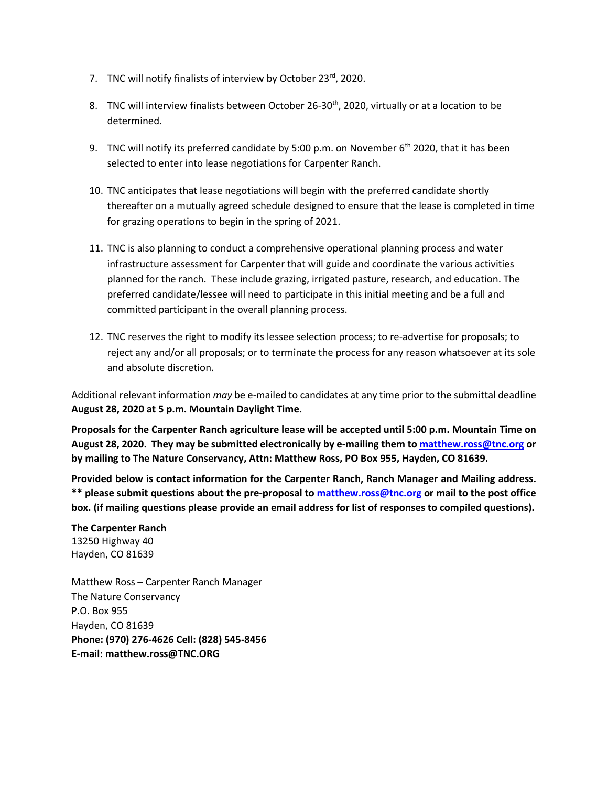- 7. TNC will notify finalists of interview by October 23<sup>rd</sup>, 2020.
- 8. TNC will interview finalists between October 26-30<sup>th</sup>, 2020, virtually or at a location to be determined.
- 9. TNC will notify its preferred candidate by 5:00 p.m. on November  $6<sup>th</sup>$  2020, that it has been selected to enter into lease negotiations for Carpenter Ranch.
- 10. TNC anticipates that lease negotiations will begin with the preferred candidate shortly thereafter on a mutually agreed schedule designed to ensure that the lease is completed in time for grazing operations to begin in the spring of 2021.
- 11. TNC is also planning to conduct a comprehensive operational planning process and water infrastructure assessment for Carpenter that will guide and coordinate the various activities planned for the ranch. These include grazing, irrigated pasture, research, and education. The preferred candidate/lessee will need to participate in this initial meeting and be a full and committed participant in the overall planning process.
- 12. TNC reserves the right to modify its lessee selection process; to re-advertise for proposals; to reject any and/or all proposals; or to terminate the process for any reason whatsoever at its sole and absolute discretion.

Additional relevant information *may* be e-mailed to candidates at any time prior to the submittal deadline **August 28, 2020 at 5 p.m. Mountain Daylight Time.**

**Proposals for the Carpenter Ranch agriculture lease will be accepted until 5:00 p.m. Mountain Time on August 28, 2020. They may be submitted electronically by e-mailing them t[o matthew.ross@tnc.org](mailto:matthew.ross@tnc.org) or by mailing to The Nature Conservancy, Attn: Matthew Ross, PO Box 955, Hayden, CO 81639.**

**Provided below is contact information for the Carpenter Ranch, Ranch Manager and Mailing address. \*\* please submit questions about the pre-proposal to [matthew.ross@tnc.org](mailto:matthew.ross@tnc.org) or mail to the post office box. (if mailing questions please provide an email address for list of responses to compiled questions).**

**The Carpenter Ranch** 13250 Highway 40 Hayden, CO 81639

Matthew Ross – Carpenter Ranch Manager The Nature Conservancy P.O. Box 955 Hayden, CO 81639 **Phone: (970) 276-4626 Cell: (828) 545-8456 E-mail: matthew.ross@TNC.ORG**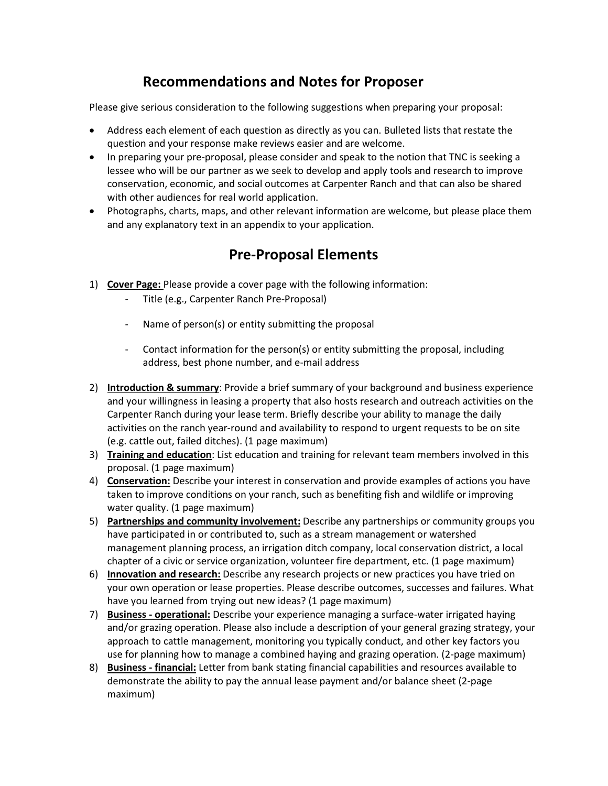# **Recommendations and Notes for Proposer**

Please give serious consideration to the following suggestions when preparing your proposal:

- Address each element of each question as directly as you can. Bulleted lists that restate the question and your response make reviews easier and are welcome.
- In preparing your pre-proposal, please consider and speak to the notion that TNC is seeking a lessee who will be our partner as we seek to develop and apply tools and research to improve conservation, economic, and social outcomes at Carpenter Ranch and that can also be shared with other audiences for real world application.
- Photographs, charts, maps, and other relevant information are welcome, but please place them and any explanatory text in an appendix to your application.

# **Pre-Proposal Elements**

- 1) **Cover Page:** Please provide a cover page with the following information:
	- Title (e.g., Carpenter Ranch Pre-Proposal)
	- Name of person(s) or entity submitting the proposal
	- Contact information for the person(s) or entity submitting the proposal, including address, best phone number, and e-mail address
- 2) **Introduction & summary**: Provide a brief summary of your background and business experience and your willingness in leasing a property that also hosts research and outreach activities on the Carpenter Ranch during your lease term. Briefly describe your ability to manage the daily activities on the ranch year-round and availability to respond to urgent requests to be on site (e.g. cattle out, failed ditches). (1 page maximum)
- 3) **Training and education**: List education and training for relevant team members involved in this proposal. (1 page maximum)
- 4) **Conservation:** Describe your interest in conservation and provide examples of actions you have taken to improve conditions on your ranch, such as benefiting fish and wildlife or improving water quality. (1 page maximum)
- 5) **Partnerships and community involvement:** Describe any partnerships or community groups you have participated in or contributed to, such as a stream management or watershed management planning process, an irrigation ditch company, local conservation district, a local chapter of a civic or service organization, volunteer fire department, etc. (1 page maximum)
- 6) **Innovation and research:** Describe any research projects or new practices you have tried on your own operation or lease properties. Please describe outcomes, successes and failures. What have you learned from trying out new ideas? (1 page maximum)
- 7) **Business - operational:** Describe your experience managing a surface-water irrigated haying and/or grazing operation. Please also include a description of your general grazing strategy, your approach to cattle management, monitoring you typically conduct, and other key factors you use for planning how to manage a combined haying and grazing operation. (2-page maximum)
- 8) **Business - financial:** Letter from bank stating financial capabilities and resources available to demonstrate the ability to pay the annual lease payment and/or balance sheet (2-page maximum)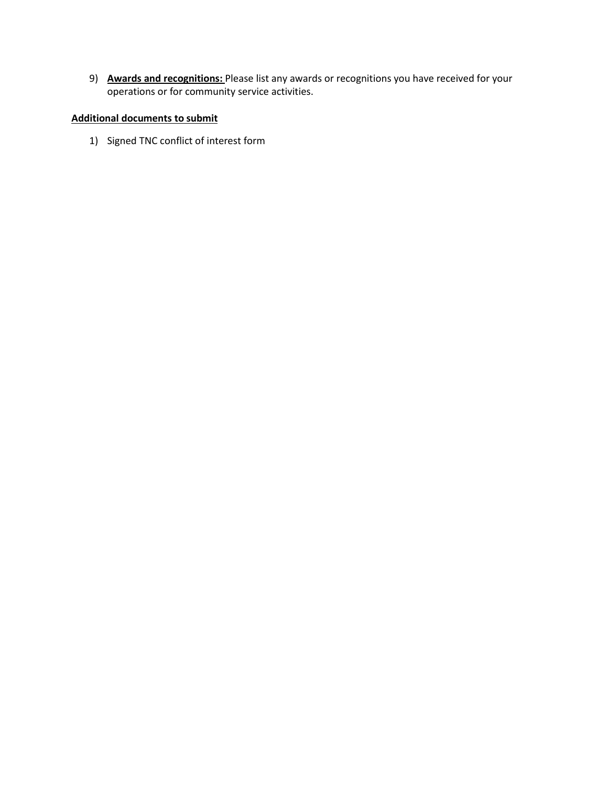9) **Awards and recognitions:** Please list any awards or recognitions you have received for your operations or for community service activities.

## **Additional documents to submit**

1) Signed TNC conflict of interest form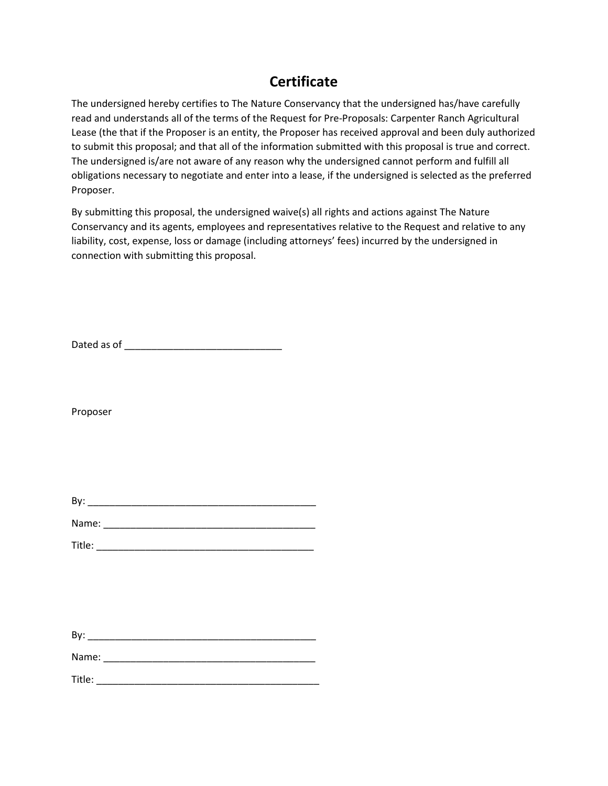# **Certificate**

The undersigned hereby certifies to The Nature Conservancy that the undersigned has/have carefully read and understands all of the terms of the Request for Pre-Proposals: Carpenter Ranch Agricultural Lease (the that if the Proposer is an entity, the Proposer has received approval and been duly authorized to submit this proposal; and that all of the information submitted with this proposal is true and correct. The undersigned is/are not aware of any reason why the undersigned cannot perform and fulfill all obligations necessary to negotiate and enter into a lease, if the undersigned is selected as the preferred Proposer.

By submitting this proposal, the undersigned waive(s) all rights and actions against The Nature Conservancy and its agents, employees and representatives relative to the Request and relative to any liability, cost, expense, loss or damage (including attorneys' fees) incurred by the undersigned in connection with submitting this proposal.

Dated as of \_\_\_\_\_\_\_\_\_\_\_\_\_\_\_\_\_\_\_\_\_\_\_\_\_\_\_\_\_

Proposer

| B١ |  |  |  |
|----|--|--|--|
|    |  |  |  |

| Name: |  |  |  |  |  |
|-------|--|--|--|--|--|
|       |  |  |  |  |  |

| Title: |  |  |  |
|--------|--|--|--|
|        |  |  |  |
|        |  |  |  |

By: \_\_\_\_\_\_\_\_\_\_\_\_\_\_\_\_\_\_\_\_\_\_\_\_\_\_\_\_\_\_\_\_\_\_\_\_\_\_\_\_\_\_

Name: \_\_\_\_\_\_\_\_\_\_\_\_\_\_\_\_\_\_\_\_\_\_\_\_\_\_\_\_\_\_\_\_\_\_\_\_\_\_\_

Title: \_\_\_\_\_\_\_\_\_\_\_\_\_\_\_\_\_\_\_\_\_\_\_\_\_\_\_\_\_\_\_\_\_\_\_\_\_\_\_\_\_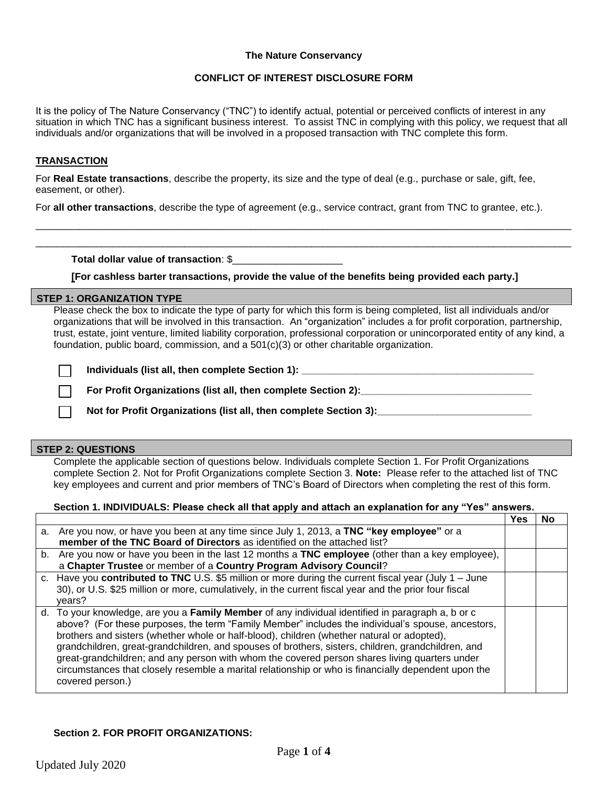### **The Nature Conservancy**

### **CONFLICT OF INTEREST DISCLOSURE FORM**

It is the policy of The Nature Conservancy ("TNC") to identify actual, potential or perceived conflicts of interest in any situation in which TNC has a significant business interest. To assist TNC in complying with this policy, we request that all individuals and/or organizations that will be involved in a proposed transaction with TNC complete this form.

### **TRANSACTION**

For **Real Estate transactions**, describe the property, its size and the type of deal (e.g., purchase or sale, gift, fee, easement, or other).

For **all other transactions**, describe the type of agreement (e.g., service contract, grant from TNC to grantee, etc.).

\_\_\_\_\_\_\_\_\_\_\_\_\_\_\_\_\_\_\_\_\_\_\_\_\_\_\_\_\_\_\_\_\_\_\_\_\_\_\_\_\_\_\_\_\_\_\_\_\_\_\_\_\_\_\_\_\_\_\_\_\_\_\_\_\_\_\_\_\_\_\_\_\_\_\_\_\_\_\_\_\_\_\_\_\_\_\_\_\_\_\_\_\_\_\_\_\_ \_\_\_\_\_\_\_\_\_\_\_\_\_\_\_\_\_\_\_\_\_\_\_\_\_\_\_\_\_\_\_\_\_\_\_\_\_\_\_\_\_\_\_\_\_\_\_\_\_\_\_\_\_\_\_\_\_\_\_\_\_\_\_\_\_\_\_\_\_\_\_\_\_\_\_\_\_\_\_\_\_\_\_\_\_\_\_\_\_\_\_\_\_\_\_\_\_

**Total dollar value of transaction**: \$\_\_\_\_\_\_\_\_\_\_\_\_\_\_\_\_\_\_\_\_

**[For cashless barter transactions, provide the value of the benefits being provided each party.]**

#### **STEP 1: ORGANIZATION TYPE**

Please check the box to indicate the type of party for which this form is being completed, list all individuals and/or organizations that will be involved in this transaction. An "organization" includes a for profit corporation, partnership, trust, estate, joint venture, limited liability corporation, professional corporation or unincorporated entity of any kind, a foundation, public board, commission, and a 501(c)(3) or other charitable organization.

**Individuals (list all, then complete Section 1): \_\_\_\_\_\_\_\_\_\_\_\_\_\_\_\_\_\_\_\_\_\_\_\_\_\_\_\_\_\_\_\_\_\_\_\_\_\_\_\_\_\_** 

For Profit Organizations (list all, then complete Section 2):

**Not for Profit Organizations (list all, then complete Section 3):\_\_\_\_\_\_\_\_\_\_\_\_\_\_\_\_\_\_\_\_\_\_\_\_\_\_\_\_** 

#### **STEP 2: QUESTIONS**

Complete the applicable section of questions below. Individuals complete Section 1. For Profit Organizations complete Section 2. Not for Profit Organizations complete Section 3. **Note:** Please refer to the attached list of TNC key employees and current and prior members of TNC's Board of Directors when completing the rest of this form.

#### **Section 1. INDIVIDUALS: Please check all that apply and attach an explanation for any "Yes" answers.**

|    |                                                                                                                                                                                                                                                                                                                                                                                                                                                                                                                                                                                                                                        | Yes | Nο |
|----|----------------------------------------------------------------------------------------------------------------------------------------------------------------------------------------------------------------------------------------------------------------------------------------------------------------------------------------------------------------------------------------------------------------------------------------------------------------------------------------------------------------------------------------------------------------------------------------------------------------------------------------|-----|----|
|    | a. Are you now, or have you been at any time since July 1, 2013, a TNC "key employee" or a<br>member of the TNC Board of Directors as identified on the attached list?                                                                                                                                                                                                                                                                                                                                                                                                                                                                 |     |    |
| b. | Are you now or have you been in the last 12 months a TNC employee (other than a key employee),<br>a Chapter Trustee or member of a Country Program Advisory Council?                                                                                                                                                                                                                                                                                                                                                                                                                                                                   |     |    |
|    | c. Have you contributed to TNC U.S. \$5 million or more during the current fiscal year (July 1 - June<br>30), or U.S. \$25 million or more, cumulatively, in the current fiscal year and the prior four fiscal<br>vears?                                                                                                                                                                                                                                                                                                                                                                                                               |     |    |
|    | d. To your knowledge, are you a Family Member of any individual identified in paragraph a, b or c<br>above? (For these purposes, the term "Family Member" includes the individual's spouse, ancestors,<br>brothers and sisters (whether whole or half-blood), children (whether natural or adopted),<br>grandchildren, great-grandchildren, and spouses of brothers, sisters, children, grandchildren, and<br>great-grandchildren; and any person with whom the covered person shares living quarters under<br>circumstances that closely resemble a marital relationship or who is financially dependent upon the<br>covered person.) |     |    |

#### **Section 2. FOR PROFIT ORGANIZATIONS:**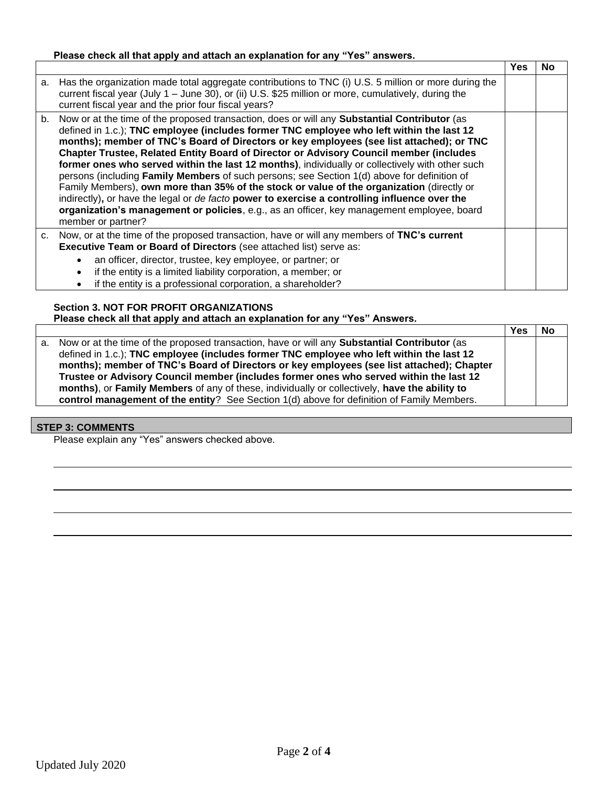## **Please check all that apply and attach an explanation for any "Yes" answers.**

|    |                                                                                                                                                                                                                                                                                                                                                                                                                                                                                                                                                                                                                                                                                                                                                                                                                                                                                                                     | Yes | No |
|----|---------------------------------------------------------------------------------------------------------------------------------------------------------------------------------------------------------------------------------------------------------------------------------------------------------------------------------------------------------------------------------------------------------------------------------------------------------------------------------------------------------------------------------------------------------------------------------------------------------------------------------------------------------------------------------------------------------------------------------------------------------------------------------------------------------------------------------------------------------------------------------------------------------------------|-----|----|
|    | a. Has the organization made total aggregate contributions to TNC (i) U.S. 5 million or more during the<br>current fiscal year (July 1 – June 30), or (ii) U.S. \$25 million or more, cumulatively, during the<br>current fiscal year and the prior four fiscal years?                                                                                                                                                                                                                                                                                                                                                                                                                                                                                                                                                                                                                                              |     |    |
|    | b. Now or at the time of the proposed transaction, does or will any <b>Substantial Contributor</b> (as<br>defined in 1.c.); TNC employee (includes former TNC employee who left within the last 12<br>months); member of TNC's Board of Directors or key employees (see list attached); or TNC<br><b>Chapter Trustee, Related Entity Board of Director or Advisory Council member (includes</b><br>former ones who served within the last 12 months), individually or collectively with other such<br>persons (including Family Members of such persons; see Section 1(d) above for definition of<br>Family Members), own more than 35% of the stock or value of the organization (directly or<br>indirectly), or have the legal or de facto power to exercise a controlling influence over the<br>organization's management or policies, e.g., as an officer, key management employee, board<br>member or partner? |     |    |
| C. | Now, or at the time of the proposed transaction, have or will any members of TNC's current<br><b>Executive Team or Board of Directors (see attached list) serve as:</b>                                                                                                                                                                                                                                                                                                                                                                                                                                                                                                                                                                                                                                                                                                                                             |     |    |
|    | an officer, director, trustee, key employee, or partner; or<br>if the entity is a limited liability corporation, a member; or<br>if the entity is a professional corporation, a shareholder?                                                                                                                                                                                                                                                                                                                                                                                                                                                                                                                                                                                                                                                                                                                        |     |    |

### **Section 3. NOT FOR PROFIT ORGANIZATIONS Please check all that apply and attach an explanation for any "Yes" Answers.**

|    |                                                                                                     | Yes | No |
|----|-----------------------------------------------------------------------------------------------------|-----|----|
| а. | Now or at the time of the proposed transaction, have or will any <b>Substantial Contributor</b> (as |     |    |
|    | defined in 1.c.); TNC employee (includes former TNC employee who left within the last 12            |     |    |
|    | months); member of TNC's Board of Directors or key employees (see list attached); Chapter           |     |    |
|    | Trustee or Advisory Council member (includes former ones who served within the last 12              |     |    |
|    | months), or Family Members of any of these, individually or collectively, have the ability to       |     |    |
|    | control management of the entity? See Section 1(d) above for definition of Family Members.          |     |    |

## **STEP 3: COMMENTS**

Please explain any "Yes" answers checked above.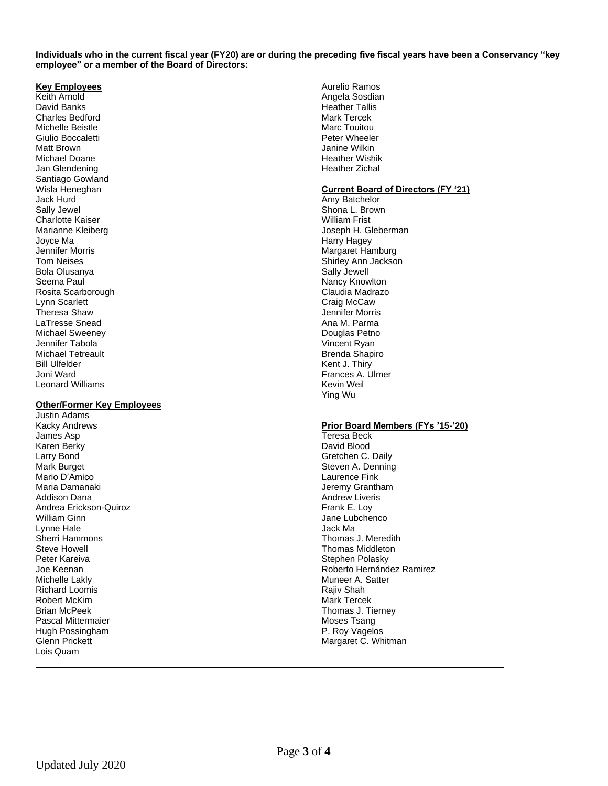**Individuals who in the current fiscal year (FY20) are or during the preceding five fiscal years have been a Conservancy "key employee" or a member of the Board of Directors:**

#### **Key Employees**

Keith Arnold David Banks Charles Bedford Michelle Beistle Giulio Boccaletti Matt Brown Michael Doane Jan Glendening Santiago Gowland Wisla Heneghan Jack Hurd Sally Jewel Charlotte Kaiser Marianne Kleiberg Joyce Ma Jennifer Morris Tom Neises Bola Olusanya Seema Paul Rosita Scarborough Lynn Scarlett Theresa Shaw LaTresse Snead Michael Sweeney Jennifer Tabola Michael Tetreault Bill Ulfelder Joni Ward Leonard Williams

#### **Other/Former Key Employees**

Justin Adams Kacky Andrews James Asp Karen Berky Larry Bond Mark Burget Mario D'Amico Maria Damanaki Addison Dana Andrea Erickson-Quiroz William Ginn Lynne Hale Sherri Hammons Steve Howell Peter Kareiva Joe Keenan Michelle Lakly Richard Loomis Robert McKim Brian McPeek Pascal Mittermaier Hugh Possingham Glenn Prickett Lois Quam

Aurelio Ramos Angela Sosdian Heather Tallis Mark Tercek Marc Touitou Peter Wheeler Janine Wilkin Heather Wishik Heather Zichal

#### **Current Board of Directors (FY '21)**

Amy Batchelor Shona L. Brown William Frist Joseph H. Gleberman Harry Hagey Margaret Hamburg Shirley Ann Jackson Sally Jewell Nancy Knowlton Claudia Madrazo Craig McCaw Jennifer Morris Ana M. Parma Douglas Petno Vincent Ryan Brenda Shapiro Kent J. Thiry Frances A. Ulmer Kevin Weil Ying Wu

#### **Prior Board Members (FYs '15-'20)**

Teresa Beck David Blood Gretchen C. Daily Steven A. Denning Laurence Fink Jeremy Grantham Andrew Liveris Frank E. Loy Jane Lubchenco Jack Ma Thomas J. Meredith Thomas Middleton Stephen Polasky Roberto Hernández Ramirez Muneer A. Satter Rajiv Shah Mark Tercek Thomas J. Tierney Moses Tsang P. Roy Vagelos Margaret C. Whitman